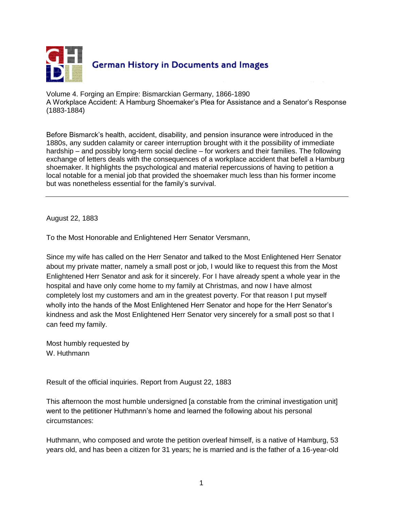

Volume 4. Forging an Empire: Bismarckian Germany, 1866-1890 A Workplace Accident: A Hamburg Shoemaker's Plea for Assistance and a Senator's Response (1883-1884)

Before Bismarck's health, accident, disability, and pension insurance were introduced in the 1880s, any sudden calamity or career interruption brought with it the possibility of immediate hardship – and possibly long-term social decline – for workers and their families. The following exchange of letters deals with the consequences of a workplace accident that befell a Hamburg shoemaker. It highlights the psychological and material repercussions of having to petition a local notable for a menial job that provided the shoemaker much less than his former income but was nonetheless essential for the family's survival.

August 22, 1883

To the Most Honorable and Enlightened Herr Senator Versmann,

Since my wife has called on the Herr Senator and talked to the Most Enlightened Herr Senator about my private matter, namely a small post or job, I would like to request this from the Most Enlightened Herr Senator and ask for it sincerely. For I have already spent a whole year in the hospital and have only come home to my family at Christmas, and now I have almost completely lost my customers and am in the greatest poverty. For that reason I put myself wholly into the hands of the Most Enlightened Herr Senator and hope for the Herr Senator's kindness and ask the Most Enlightened Herr Senator very sincerely for a small post so that I can feed my family.

Most humbly requested by W. Huthmann

Result of the official inquiries. Report from August 22, 1883

This afternoon the most humble undersigned [a constable from the criminal investigation unit] went to the petitioner Huthmann's home and learned the following about his personal circumstances:

Huthmann, who composed and wrote the petition overleaf himself, is a native of Hamburg, 53 years old, and has been a citizen for 31 years; he is married and is the father of a 16-year-old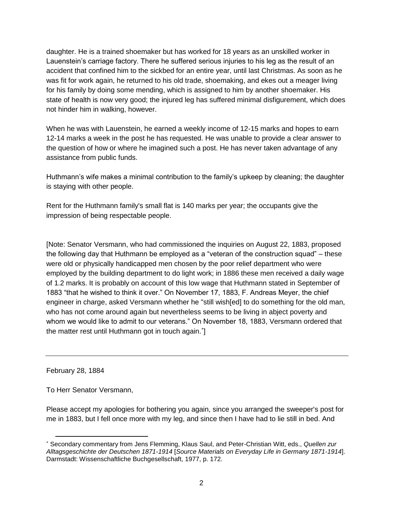daughter. He is a trained shoemaker but has worked for 18 years as an unskilled worker in Lauenstein's carriage factory. There he suffered serious injuries to his leg as the result of an accident that confined him to the sickbed for an entire year, until last Christmas. As soon as he was fit for work again, he returned to his old trade, shoemaking, and ekes out a meager living for his family by doing some mending, which is assigned to him by another shoemaker. His state of health is now very good; the injured leg has suffered minimal disfigurement, which does not hinder him in walking, however.

When he was with Lauenstein, he earned a weekly income of 12-15 marks and hopes to earn 12-14 marks a week in the post he has requested. He was unable to provide a clear answer to the question of how or where he imagined such a post. He has never taken advantage of any assistance from public funds.

Huthmann's wife makes a minimal contribution to the family's upkeep by cleaning; the daughter is staying with other people.

Rent for the Huthmann family's small flat is 140 marks per year; the occupants give the impression of being respectable people.

[Note: Senator Versmann, who had commissioned the inquiries on August 22, 1883, proposed the following day that Huthmann be employed as a "veteran of the construction squad" – these were old or physically handicapped men chosen by the poor relief department who were employed by the building department to do light work; in 1886 these men received a daily wage of 1.2 marks. It is probably on account of this low wage that Huthmann stated in September of 1883 "that he wished to think it over." On November 17, 1883, F. Andreas Meyer, the chief engineer in charge, asked Versmann whether he "still wish[ed] to do something for the old man, who has not come around again but nevertheless seems to be living in abject poverty and whom we would like to admit to our veterans." On November 18, 1883, Versmann ordered that the matter rest until Huthmann got in touch again. ]

February 28, 1884

To Herr Senator Versmann,

Please accept my apologies for bothering you again, since you arranged the sweeper's post for me in 1883, but I fell once more with my leg, and since then I have had to lie still in bed. And

 $\overline{a}$  Secondary commentary from Jens Flemming, Klaus Saul, and Peter-Christian Witt, eds., *Quellen zur Alltagsgeschichte der Deutschen 1871-1914* [*Source Materials on Everyday Life in Germany 1871-1914*]. Darmstadt: Wissenschaftliche Buchgesellschaft, 1977, p. 172.